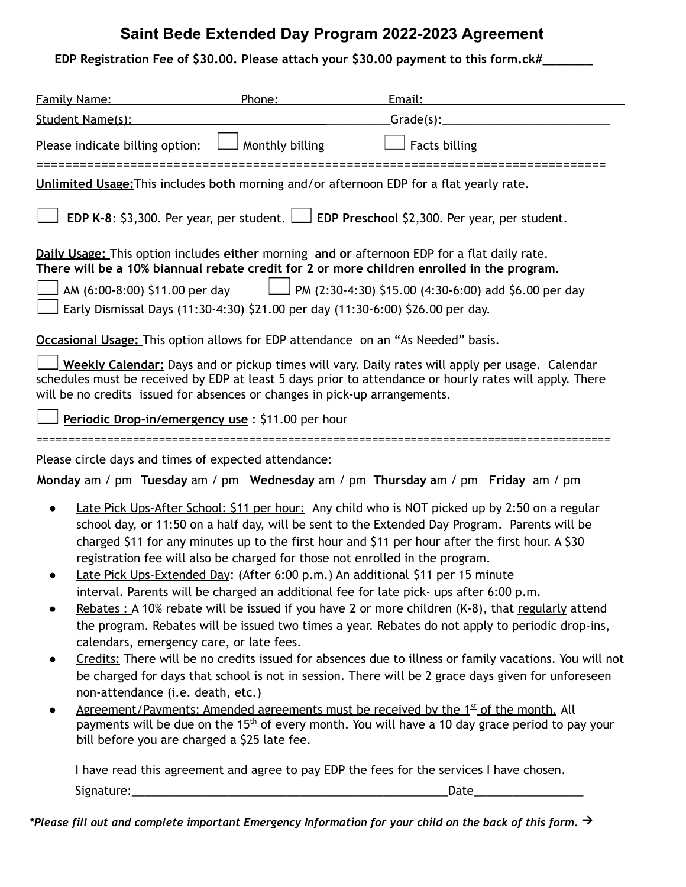## **Saint Bede Extended Day Program 2022-2023 Agreement**

| EDP Registration Fee of \$30.00. Please attach your \$30.00 payment to this form.ck#_ |  |  |
|---------------------------------------------------------------------------------------|--|--|
|---------------------------------------------------------------------------------------|--|--|

| <b>Family Name:</b>                                                                                                                                     | Phone:          | Email:                                                                                                                                                                                                                                                                                                                                                                                                                                                                                                                                                                                                                                                                                                                                                                                                                                                                                                                                                                                                                                                                                                                                                                                           |
|---------------------------------------------------------------------------------------------------------------------------------------------------------|-----------------|--------------------------------------------------------------------------------------------------------------------------------------------------------------------------------------------------------------------------------------------------------------------------------------------------------------------------------------------------------------------------------------------------------------------------------------------------------------------------------------------------------------------------------------------------------------------------------------------------------------------------------------------------------------------------------------------------------------------------------------------------------------------------------------------------------------------------------------------------------------------------------------------------------------------------------------------------------------------------------------------------------------------------------------------------------------------------------------------------------------------------------------------------------------------------------------------------|
| Student Name(s):                                                                                                                                        |                 |                                                                                                                                                                                                                                                                                                                                                                                                                                                                                                                                                                                                                                                                                                                                                                                                                                                                                                                                                                                                                                                                                                                                                                                                  |
| Please indicate billing option:                                                                                                                         | Monthly billing | <b>Facts billing</b>                                                                                                                                                                                                                                                                                                                                                                                                                                                                                                                                                                                                                                                                                                                                                                                                                                                                                                                                                                                                                                                                                                                                                                             |
|                                                                                                                                                         |                 | Unlimited Usage: This includes both morning and/or afternoon EDP for a flat yearly rate.                                                                                                                                                                                                                                                                                                                                                                                                                                                                                                                                                                                                                                                                                                                                                                                                                                                                                                                                                                                                                                                                                                         |
|                                                                                                                                                         |                 | <b>EDP K-8:</b> \$3,300. Per year, per student. $\Box$ <b>EDP Preschool</b> \$2,300. Per year, per student.                                                                                                                                                                                                                                                                                                                                                                                                                                                                                                                                                                                                                                                                                                                                                                                                                                                                                                                                                                                                                                                                                      |
|                                                                                                                                                         |                 | Daily Usage: This option includes either morning and or afternoon EDP for a flat daily rate.<br>There will be a 10% biannual rebate credit for 2 or more children enrolled in the program.                                                                                                                                                                                                                                                                                                                                                                                                                                                                                                                                                                                                                                                                                                                                                                                                                                                                                                                                                                                                       |
| AM (6:00-8:00) \$11.00 per day                                                                                                                          |                 | $\Box$ PM (2:30-4:30) \$15.00 (4:30-6:00) add \$6.00 per day                                                                                                                                                                                                                                                                                                                                                                                                                                                                                                                                                                                                                                                                                                                                                                                                                                                                                                                                                                                                                                                                                                                                     |
|                                                                                                                                                         |                 | Early Dismissal Days (11:30-4:30) \$21.00 per day (11:30-6:00) \$26.00 per day.                                                                                                                                                                                                                                                                                                                                                                                                                                                                                                                                                                                                                                                                                                                                                                                                                                                                                                                                                                                                                                                                                                                  |
| <b>Occasional Usage:</b> This option allows for EDP attendance on an "As Needed" basis.                                                                 |                 |                                                                                                                                                                                                                                                                                                                                                                                                                                                                                                                                                                                                                                                                                                                                                                                                                                                                                                                                                                                                                                                                                                                                                                                                  |
| will be no credits issued for absences or changes in pick-up arrangements.                                                                              |                 | Weekly Calendar: Days and or pickup times will vary. Daily rates will apply per usage. Calendar<br>schedules must be received by EDP at least 5 days prior to attendance or hourly rates will apply. There                                                                                                                                                                                                                                                                                                                                                                                                                                                                                                                                                                                                                                                                                                                                                                                                                                                                                                                                                                                       |
| Periodic Drop-in/emergency use: \$11.00 per hour                                                                                                        |                 |                                                                                                                                                                                                                                                                                                                                                                                                                                                                                                                                                                                                                                                                                                                                                                                                                                                                                                                                                                                                                                                                                                                                                                                                  |
| Please circle days and times of expected attendance:                                                                                                    |                 |                                                                                                                                                                                                                                                                                                                                                                                                                                                                                                                                                                                                                                                                                                                                                                                                                                                                                                                                                                                                                                                                                                                                                                                                  |
|                                                                                                                                                         |                 | Monday am / pm Tuesday am / pm Wednesday am / pm Thursday am / pm Friday am / pm                                                                                                                                                                                                                                                                                                                                                                                                                                                                                                                                                                                                                                                                                                                                                                                                                                                                                                                                                                                                                                                                                                                 |
| $\bullet$<br>calendars, emergency care, or late fees.<br>non-attendance (i.e. death, etc.)<br>$\bullet$<br>bill before you are charged a \$25 late fee. |                 | Late Pick Ups-After School: \$11 per hour: Any child who is NOT picked up by 2:50 on a regular<br>school day, or 11:50 on a half day, will be sent to the Extended Day Program. Parents will be<br>charged \$11 for any minutes up to the first hour and \$11 per hour after the first hour. A \$30<br>registration fee will also be charged for those not enrolled in the program.<br>Late Pick Ups-Extended Day: (After 6:00 p.m.) An additional \$11 per 15 minute<br>interval. Parents will be charged an additional fee for late pick- ups after 6:00 p.m.<br>Rebates : A 10% rebate will be issued if you have 2 or more children (K-8), that regularly attend<br>the program. Rebates will be issued two times a year. Rebates do not apply to periodic drop-ins,<br>Credits: There will be no credits issued for absences due to illness or family vacations. You will not<br>be charged for days that school is not in session. There will be 2 grace days given for unforeseen<br>Agreement/Payments: Amended agreements must be received by the 1st of the month. All<br>payments will be due on the 15 <sup>th</sup> of every month. You will have a 10 day grace period to pay your |
|                                                                                                                                                         |                 | I have read this agreement and agree to pay EDP the fees for the services I have chosen.                                                                                                                                                                                                                                                                                                                                                                                                                                                                                                                                                                                                                                                                                                                                                                                                                                                                                                                                                                                                                                                                                                         |
| Signature:                                                                                                                                              |                 | Date                                                                                                                                                                                                                                                                                                                                                                                                                                                                                                                                                                                                                                                                                                                                                                                                                                                                                                                                                                                                                                                                                                                                                                                             |

\*Please fill out and complete important Emergency Information for your child on the back of this form.  $\rightarrow$